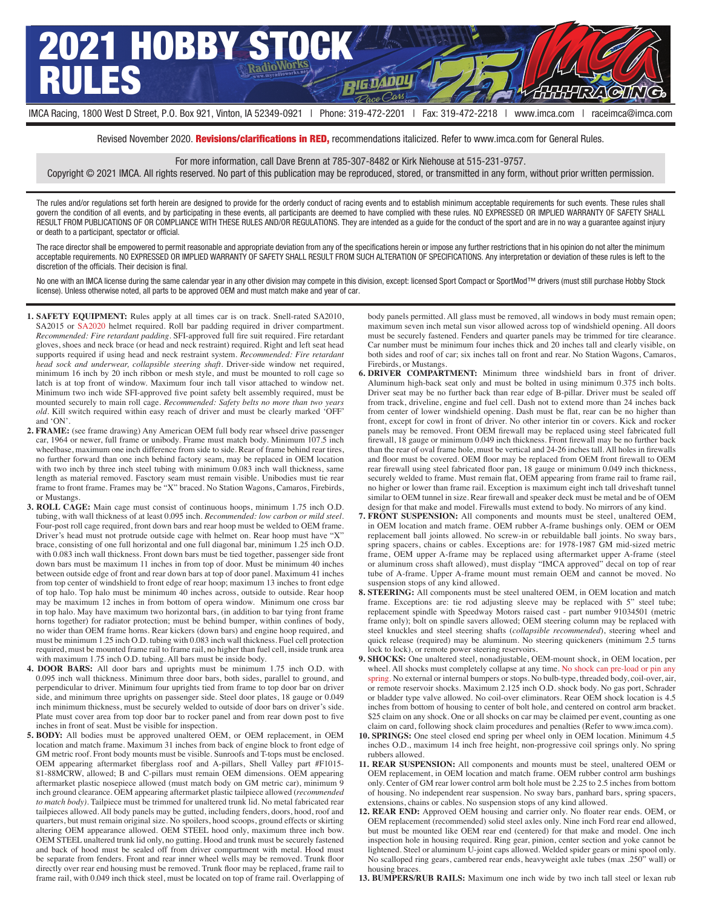

Revised November 2020. Revisions/clarifications in RED, recommendations italicized. Refer to www.imca.com for General Rules.

For more information, call Dave Brenn at 785-307-8482 or Kirk Niehouse at 515-231-9757.

Copyright © 2021 IMCA. All rights reserved. No part of this publication may be reproduced, stored, or transmitted in any form, without prior written permission.

The rules and/or regulations set forth herein are designed to provide for the orderly conduct of racing events and to establish minimum acceptable requirements for such events. These rules shall govern the condition of all events, and by participating in these events, all participants are deemed to have complied with these rules. NO EXPRESSED OR IMPLIED WARRANTY OF SAFETY SHALL RESULT FROM PUBLICATIONS OF OR COMPLIANCE WITH THESE RULES AND/OR REGULATIONS. They are intended as a guide for the conduct of the sport and are in no way a guarantee against injury or death to a participant, spectator or official.

The race director shall be empowered to permit reasonable and appropriate deviation from any of the specifications herein or impose any further restrictions that in his opinion do not alter the minimum acceptable requirements. NO EXPRESSED OR IMPLIED WARRANTY OF SAFETY SHALL RESULT FROM SUCH ALTERATION OF SPECIFICATIONS. Any interpretation or deviation of these rules is left to the discretion of the officials. Their decision is final.

No one with an IMCA license during the same calendar year in any other division may compete in this division, except: licensed Sport Compact or SportMod™ drivers (must still purchase Hobby Stock license). Unless otherwise noted, all parts to be approved OEM and must match make and year of car.

- **1. SAFETY EQUIPMENT:** Rules apply at all times car is on track. Snell-rated SA2010, SA2015 or SA2020 helmet required. Roll bar padding required in driver compartment. *Recommended: Fire retardant padding*. SFI-approved full fire suit required. Fire retardant gloves, shoes and neck brace (or head and neck restraint) required. Right and left seat head supports required if using head and neck restraint system. *Recommended: Fire retardant head sock and underwear, collapsible steering shaft*. Driver-side window net required, minimum 16 inch by 20 inch ribbon or mesh style, and must be mounted to roll cage so latch is at top front of window. Maximum four inch tall visor attached to window net. Minimum two inch wide SFI-approved five point safety belt assembly required, must be mounted securely to main roll cage. *Recommended: Safety belts no more than two years old*. Kill switch required within easy reach of driver and must be clearly marked 'OFF' and 'ON'.
- **2. FRAME:** (see frame drawing) Any American OEM full body rear whseel drive passenger car, 1964 or newer, full frame or unibody. Frame must match body. Minimum 107.5 inch wheelbase, maximum one inch difference from side to side. Rear of frame behind rear tires, no further forward than one inch behind factory seam, may be replaced in OEM location with two inch by three inch steel tubing with minimum 0.083 inch wall thickness, same length as material removed. Fasctory seam must remain visible. Unibodies must tie rear frame to front frame. Frames may be "X" braced. No Station Wagons, Camaros, Firebirds, or Mustangs.
- **3. ROLL CAGE:** Main cage must consist of continuous hoops, minimum 1.75 inch O.D. tubing, with wall thickness of at least 0.095 inch. *Recommended: low carbon or mild steel*. Four-post roll cage required, front down bars and rear hoop must be welded to OEM frame. Driver's head must not protrude outside cage with helmet on. Rear hoop must have "X" brace, consisting of one full horizontal and one full diagonal bar, minimum 1.25 inch O.D. with 0.083 inch wall thickness. Front down bars must be tied together, passenger side front down bars must be maximum 11 inches in from top of door. Must be minimum 40 inches between outside edge of front and rear down bars at top of door panel. Maximum 41 inches from top center of windshield to front edge of rear hoop; maximum 13 inches to front edge of top halo. Top halo must be minimum 40 inches across, outside to outside. Rear hoop may be maximum 12 inches in from bottom of opera window. Minimum one cross bar in top halo. May have maximum two horizontal bars, (in addition to bar tying front frame horns together) for radiator protection; must be behind bumper, within confines of body, no wider than OEM frame horns. Rear kickers (down bars) and engine hoop required, and must be minimum 1.25 inch O.D. tubing with 0.083 inch wall thickness. Fuel cell protection required, must be mounted frame rail to frame rail, no higher than fuel cell, inside trunk area with maximum 1.75 inch O.D. tubing. All bars must be inside body.
- **4. DOOR BARS:** All door bars and uprights must be minimum 1.75 inch O.D. with 0.095 inch wall thickness. Minimum three door bars, both sides, parallel to ground, and perpendicular to driver. Minimum four uprights tied from frame to top door bar on driver side, and minimum three uprights on passenger side. Steel door plates, 18 gauge or 0.049 inch minimum thickness, must be securely welded to outside of door bars on driver's side. Plate must cover area from top door bar to rocker panel and from rear down post to five inches in front of seat. Must be visible for inspection.
- **5. BODY:** All bodies must be approved unaltered OEM, or OEM replacement, in OEM location and match frame. Maximum 31 inches from back of engine block to front edge of GM metric roof. Front body mounts must be visible. Sunroofs and T-tops must be enclosed. OEM appearing aftermarket fiberglass roof and A-pillars, Shell Valley part #F1015- 81-88MCRW, allowed; B and C-pillars must remain OEM dimensions. OEM appearing aftermarket plastic nosepiece allowed (must match body on GM metric car), minimum 9 inch ground clearance. OEM appearing aftermarket plastic tailpiece allowed (*recommended to match body)*. Tailpiece must be trimmed for unaltered trunk lid. No metal fabricated rear tailpieces allowed. All body panels may be gutted, including fenders, doors, hood, roof and quarters, but must remain original size. No spoilers, hood scoops, ground effects or skirting altering OEM appearance allowed. OEM STEEL hood only, maximum three inch bow. OEM STEEL unaltered trunk lid only, no gutting. Hood and trunk must be securely fastened and back of hood must be sealed off from driver compartment with metal. Hood must be separate from fenders. Front and rear inner wheel wells may be removed. Trunk floor directly over rear end housing must be removed. Trunk floor may be replaced, frame rail to frame rail, with 0.049 inch thick steel, must be located on top of frame rail. Overlapping of

body panels permitted. All glass must be removed, all windows in body must remain open; maximum seven inch metal sun visor allowed across top of windshield opening. All doors must be securely fastened. Fenders and quarter panels may be trimmed for tire clearance. Car number must be minimum four inches thick and 20 inches tall and clearly visible, on both sides and roof of car; six inches tall on front and rear. No Station Wagons, Camaros, Firebirds, or Mustangs.

- **6. DRIVER COMPARTMENT:** Minimum three windshield bars in front of driver. Aluminum high-back seat only and must be bolted in using minimum 0.375 inch bolts. Driver seat may be no further back than rear edge of B-pillar. Driver must be sealed off from track, driveline, engine and fuel cell. Dash not to extend more than 24 inches back from center of lower windshield opening. Dash must be flat, rear can be no higher than front, except for cowl in front of driver. No other interior tin or covers. Kick and rocker panels may be removed. Front OEM firewall may be replaced using steel fabricated full firewall, 18 gauge or minimum 0.049 inch thickness. Front firewall may be no further back than the rear of oval frame hole, must be vertical and 24-26 inches tall. All holes in firewalls and floor must be covered. OEM floor may be replaced from OEM front firewall to OEM rear firewall using steel fabricated floor pan, 18 gauge or minimum 0.049 inch thickness, securely welded to frame. Must remain flat, OEM appearing from frame rail to frame rail, no higher or lower than frame rail. Exception is maximum eight inch tall driveshaft tunnel similar to OEM tunnel in size. Rear firewall and speaker deck must be metal and be of OEM design for that make and model. Firewalls must extend to body. No mirrors of any kind.
- **7. FRONT SUSPENSION:** All components and mounts must be steel, unaltered OEM, in OEM location and match frame. OEM rubber A-frame bushings only. OEM or OEM replacement ball joints allowed. No screw-in or rebuildable ball joints. No sway bars, spring spacers, chains or cables. Exceptions are: for 1978-1987 GM mid-sized metric frame, OEM upper A-frame may be replaced using aftermarket upper A-frame (steel or aluminum cross shaft allowed), must display "IMCA approved" decal on top of rear tube of A-frame. Upper A-frame mount must remain OEM and cannot be moved. No suspension stops of any kind allowed.
- **8. STEERING:** All components must be steel unaltered OEM, in OEM location and match frame. Exceptions are: tie rod adjusting sleeve may be replaced with 5" steel tube; replacement spindle with Speedway Motors raised cast - part number 91034501 (metric frame only); bolt on spindle savers allowed; OEM steering column may be replaced with steel knuckles and steel steering shafts (*collapsible recommended*), steering wheel and quick release (required) may be aluminum. No steering quickeners (minimum 2.5 turns lock to lock), or remote power steering reservoirs.
- **9. SHOCKS:** One unaltered steel, nonadjustable, OEM-mount shock, in OEM location, per wheel. All shocks must completely collapse at any time. No shock can pre-load or pin any spring. No external or internal bumpers or stops. No bulb-type, threaded body, coil-over, air, or remote reservoir shocks. Maximum 2.125 inch O.D. shock body. No gas port, Schrader or bladder type valve allowed. No coil-over eliminators. Rear OEM shock location is 4.5 inches from bottom of housing to center of bolt hole, and centered on control arm bracket. \$25 claim on any shock. One or all shocks on car may be claimed per event, counting as one claim on card, following shock claim procedures and penalties (Refer to www.imca.com).
- 10. SPRINGS: One steel closed end spring per wheel only in OEM location. Minimum 4.5 inches O.D., maximum 14 inch free height, non-progressive coil springs only. No spring rubbers allowed.
- **11. REAR SUSPENSION:** All components and mounts must be steel, unaltered OEM or OEM replacement, in OEM location and match frame. OEM rubber control arm bushings only. Center of GM rear lower control arm bolt hole must be 2.25 to 2.5 inches from bottom of housing. No independent rear suspension. No sway bars, panhard bars, spring spacers, extensions, chains or cables. No suspension stops of any kind allowed.
- **12. REAR END:** Approved OEM housing and carrier only. No floater rear ends. OEM, or OEM replacement (recommended) solid steel axles only. Nine inch Ford rear end allowed, but must be mounted like OEM rear end (centered) for that make and model. One inch inspection hole in housing required. Ring gear, pinion, center section and yoke cannot be lightened. Steel or aluminum U-joint caps allowed. Welded spider gears or mini spool only. No scalloped ring gears, cambered rear ends, heavyweight axle tubes (max .250" wall) or housing braces.
- **13. BUMPERS/RUB RAILS:** Maximum one inch wide by two inch tall steel or lexan rub